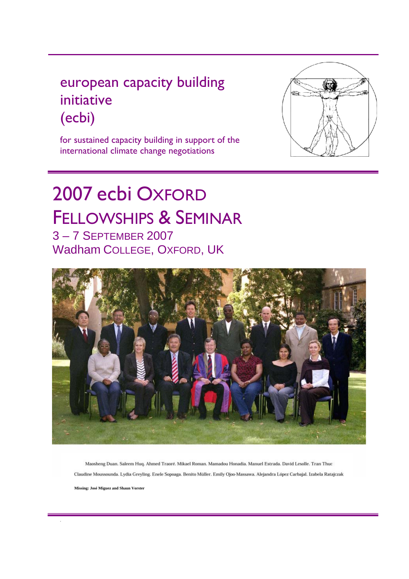## european capacity building initiative (ecbi)

for sustained capacity building in support of the international climate change negotiations



# 2007 ecbi OXFORD FELLOWSHIPS & SEMINAR 3 – 7 SEPTEMBER 2007 Wadham COLLEGE, OXFORD, UK

.



Maosheng Duan. Saleem Huq. Ahmed Traoré. Mikael Roman. Mamadou Honadia. Manuel Estrada. David Lesolle. Tran Thuc Claudine Moussounda. Lydia Greyling. Enele Sopoaga. Benito Müller. Emily Ojoo-Massawa. Alejandra López Carbajal. Izabela Ratajczak **Missing: José Miguez and Shaun Vorster**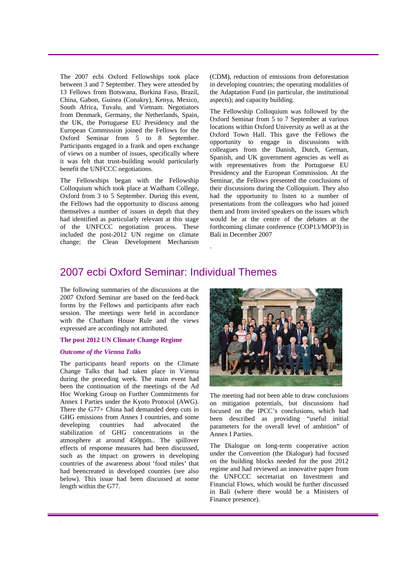The 2007 ecbi Oxford Fellowships took place between 3 and 7 September. They were attended by 13 Fellows from Botswana, Burkina Faso, Brazil, China, Gabon, Guinea (Conakry), Kenya, Mexico, South Africa, Tuvalu, and Vietnam. Negotiators from Denmark, Germany, the Netherlands, Spain, the UK, the Portuguese EU Presidency and the European Commission joined the Fellows for the Oxford Seminar from 5 to 8 September. Participants engaged in a frank and open exchange of views on a number of issues, specifically where it was felt that trust-building would particularly benefit the UNFCCC negotiations.

The Fellowships began with the Fellowship Colloquium which took place at Wadham College, Oxford from 3 to 5 September. During this event, the Fellows had the opportunity to discuss among themselves a number of issues in depth that they had identified as particularly relevant at this stage of the UNFCCC negotiation process. These included the post-2012 UN regime on climate change; the Clean Development Mechanism (CDM), reduction of emissions from deforestation in developing countries; the operating modalities of the Adaptation Fund (in particular, the institutional aspects); and capacity building.

The Fellowship Colloquium was followed by the Oxford Seminar from 5 to 7 September at various locations within Oxford University as well as at the Oxford Town Hall. This gave the Fellows the opportunity to engage in discussions with colleagues from the Danish, Dutch, German, Spanish, and UK government agencies as well as with representatives from the Portuguese EU Presidency and the European Commission. At the Seminar, the Fellows presented the conclusions of their discussions during the Colloquium. They also had the opportunity to listen to a number of presentations from the colleagues who had joined them and from invited speakers on the issues which would be at the centre of the debates at the forthcoming climate conference (COP13/MOP3) in Bali in December 2007

## 2007 ecbi Oxford Seminar: Individual Themes

.

The following summaries of the discussions at the 2007 Oxford Seminar are based on the feed-back forms by the Fellows and participants after each session. The meetings were held in accordance with the Chatham House Rule and the views expressed are accordingly not attributed.

#### **The post 2012 UN Climate Change Regime**

#### *Outcome of the Vienna Talks*

.

The participants heard reports on the Climate Change Talks that had taken place in Vienna during the preceding week. The main event had been the continuation of the meetings of the Ad Hoc Working Group on Further Commitments for Annex I Parties under the Kyoto Protocol (AWG). There the G77+ China had demanded deep cuts in GHG emissions from Annex I countries, and some developing countries had advocated the developing countries had advocated the stabilization of GHG concentrations in the atmosphere at around 450ppm.. The spillover effects of response measures had been discussed, such as the impact on growers in developing countries of the awareness about 'food miles' that had beencreated in developed counties (see also below). This issue had been discussed at some length within the G77.



The meeting had not been able to draw conclusions on mitigation potentials, but discussions had focused on the IPCC's conclusions, which had been described as providing "useful initial parameters for the overall level of ambition" of Annex I Parties.

The Dialogue on long-term cooperative action under the Convention (the Dialogue) had focused on the building blocks needed for the post 2012 regime and had reviewed an innovative paper from the UNFCCC secretariat on Investment and Financial Flows, which would be further discussed in Bali (where there would be a Ministers of Finance presence).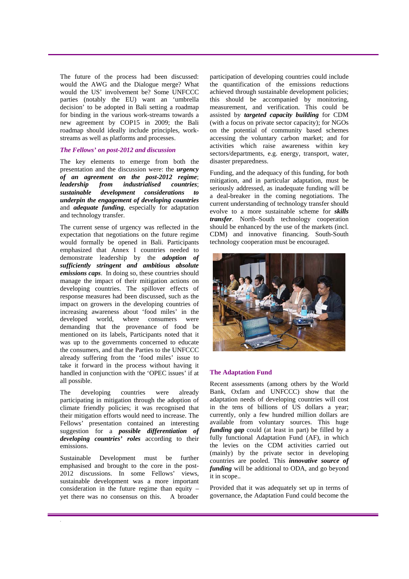The future of the process had been discussed: would the AWG and the Dialogue merge? What would the US' involvement be? Some UNFCCC parties (notably the EU) want an 'umbrella decision' to be adopted in Bali setting a roadmap for binding in the various work-streams towards a new agreement by COP15 in 2009; the Bali roadmap should ideally include principles, workstreams as well as platforms and processes.

#### *The Fellows' on post-2012 and discussion*

The key elements to emerge from both the presentation and the discussion were: the *urgency of an agreement on the post-2012 regime*; *leadership from industrialised countries*; *sustainable development considerations to underpin the engagement of developing countries* and *adequate funding*, especially for adaptation and technology transfer.

The current sense of urgency was reflected in the expectation that negotiations on the future regime would formally be opened in Bali. Participants emphasized that Annex I countries needed to demonstrate leadership by the *adoption of sufficiently stringent and ambitious absolute emissions caps*. In doing so, these countries should manage the impact of their mitigation actions on developing countries. The spillover effects of response measures had been discussed, such as the impact on growers in the developing countries of increasing awareness about 'food miles' in the developed world, where consumers were demanding that the provenance of food be mentioned on its labels, Participants noted that it was up to the governments concerned to educate the consumers, and that the Parties to the UNFCCC already suffering from the 'food miles' issue to take it forward in the process without having it handled in conjunction with the 'OPEC issues' if at all possible.

The developing countries were already participating in mitigation through the adoption of climate friendly policies; it was recognised that their mitigation efforts would need to increase. The Fellows' presentation contained an interesting suggestion for a *possible differentiation of developing countries' roles* according to their emissions.

Sustainable Development must be further emphasised and brought to the core in the post-2012 discussions. In some Fellows' views, sustainable development was a more important consideration in the future regime than equity  $$ yet there was no consensus on this. A broader

.

participation of developing countries could include the quantification of the emissions reductions achieved through sustainable development policies; this should be accompanied by monitoring, measurement, and verification. This could be assisted by *targeted capacity building* for CDM (with a focus on private sector capacity); for NGOs on the potential of community based schemes accessing the voluntary carbon market; and for activities which raise awareness within key sectors/departments, e.g. energy, transport, water, disaster preparedness.

Funding, and the adequacy of this funding, for both mitigation, and in particular adaptation, must be seriously addressed, as inadequate funding will be a deal-breaker in the coming negotiations. The current understanding of technology transfer should evolve to a more sustainable scheme for *skills transfer*. North–South technology cooperation should be enhanced by the use of the markets (incl. CDM) and innovative financing. South-South technology cooperation must be encouraged.



#### **The Adaptation Fund**

Recent assessments (among others by the World Bank, Oxfam and UNFCCC) show that the adaptation needs of developing countries will cost in the tens of billions of US dollars a year; currently, only a few hundred million dollars are available from voluntary sources. This huge *funding gap* could (at least in part) be filled by a fully functional Adaptation Fund (AF), in which the levies on the CDM activities carried out (mainly) by the private sector in developing countries are pooled. This *innovative source of funding* will be additional to ODA, and go beyond it in scope..

Provided that it was adequately set up in terms of governance, the Adaptation Fund could become the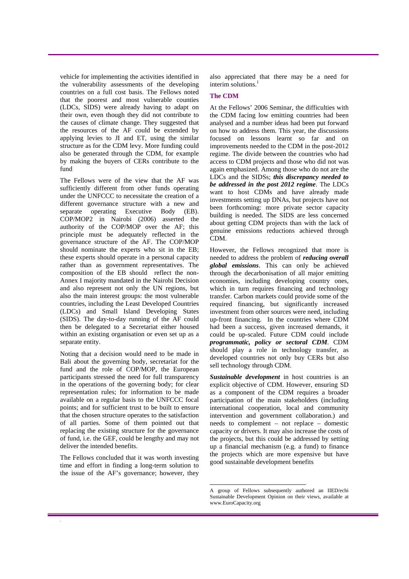vehicle for implementing the activities identified in the vulnerability assessments of the developing countries on a full cost basis. The Fellows noted that the poorest and most vulnerable counties (LDCs, SIDS) were already having to adapt on their own, even though they did not contribute to the causes of climate change. They suggested that the resources of the AF could be extended by applying levies to JI and ET, using the similar structure as for the CDM levy. More funding could also be generated through the CDM, for example by making the buyers of CERs contribute to the fund

The Fellows were of the view that the AF was sufficiently different from other funds operating under the UNFCCC to necessitate the creation of a different governance structure with a new and separate operating Executive Body (EB). COP/MOP2 in Nairobi (2006) asserted the authority of the COP/MOP over the AF; this principle must be adequately reflected in the governance structure of the AF. The COP/MOP should nominate the experts who sit in the EB; these experts should operate in a personal capacity rather than as government representatives. The composition of the EB should reflect the non-Annex I majority mandated in the Nairobi Decision and also represent not only the UN regions, but also the main interest groups: the most vulnerable countries, including the Least Developed Countries (LDCs) and Small Island Developing States (SIDS). The day-to-day running of the AF could then be delegated to a Secretariat either housed within an existing organisation or even set up as a separate entity.

Noting that a decision would need to be made in Bali about the governing body, secretariat for the fund and the role of COP/MOP, the European participants stressed the need for full transparency in the operations of the governing body; for clear representation rules; for information to be made available on a regular basis to the UNFCCC focal points; and for sufficient trust to be built to ensure that the chosen structure operates to the satisfaction of all parties. Some of them pointed out that replacing the existing structure for the governance of fund, i.e. the GEF, could be lengthy and may not deliver the intended benefits.

The Fellows concluded that it was worth investing time and effort in finding a long-term solution to the issue of the AF's governance; however, they

.

also appreciated that there may be a need for interim solutions.<sup>1</sup>

#### **The CDM**

At the Fellows' 2006 Seminar, the difficulties with the CDM facing low emitting countries had been analysed and a number ideas had been put forward on how to address them. This year, the discussions focused on lessons learnt so far and on improvements needed to the CDM in the post-2012 regime. The divide between the countries who had access to CDM projects and those who did not was again emphasized. Among those who do not are the LDCs and the SIDSs; *this discrepancy needed to be addressed in the post 2012 regime*. The LDCs want to host CDMs and have already made investments setting up DNAs, but projects have not been forthcoming: more private sector capacity building is needed. The SIDS are less concerned about getting CDM projects than with the lack of genuine emissions reductions achieved through CDM.

However, the Fellows recognized that more is needed to address the problem of *reducing overall global emissions*. This can only be achieved through the decarbonisation of all major emitting economies, including developing country ones, which in turn requires financing and technology transfer. Carbon markets could provide some of the required financing, but significantly increased investment from other sources were need, including up-front financing. In the countries where CDM had been a success, given increased demands, it could be up-scaled. Future CDM could include *programmatic, policy or sectoral CDM*. CDM should play a role in technology transfer, as developed countries not only buy CERs but also sell technology through CDM.

*Sustainable development* in host countries is an explicit objective of CDM. However, ensuring SD as a component of the CDM requires a broader participation of the main stakeholders (including international cooperation, local and community intervention and government collaboration.) and needs to complement – not replace – domestic capacity or drivers. It may also increase the costs of the projects, but this could be addressed by setting up a financial mechanism (e.g. a fund) to finance the projects which are more expensive but have good sustainable development benefits

1

A group of Fellows subsequently authored an IIED/ecbi Sustainable Development Opinion on their views, available at www.EuroCapacity.org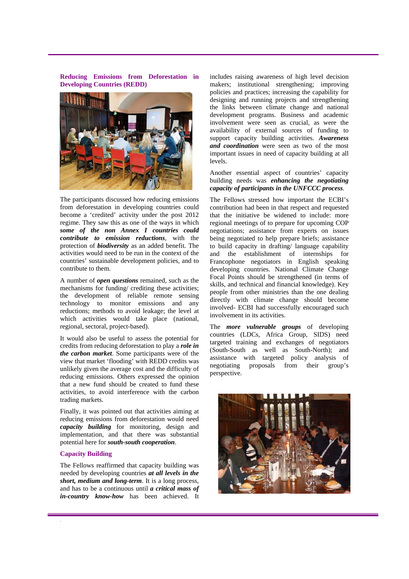**Reducing Emissions from Deforestation in Developing Countries (REDD)** 



The participants discussed how reducing emissions from deforestation in developing countries could become a 'credited' activity under the post 2012 regime. They saw this as one of the ways in which *some of the non Annex I countries could contribute to emission reductions*, with the protection of *biodiversity* as an added benefit. The activities would need to be run in the context of the countries' sustainable development policies, and to contribute to them.

A number of *open questions* remained, such as the mechanisms for funding/ crediting these activities; the development of reliable remote sensing technology to monitor emissions and any reductions; methods to avoid leakage; the level at which activities would take place (national, regional, sectoral, project-based).

It would also be useful to assess the potential for credits from reducing deforestation to play a *role in the carbon market*. Some participants were of the view that market 'flooding' with REDD credits was unlikely given the average cost and the difficulty of reducing emissions. Others expressed the opinion that a new fund should be created to fund these activities, to avoid interference with the carbon trading markets.

Finally, it was pointed out that activities aiming at reducing emissions from deforestation would need *capacity building* for monitoring, design and implementation, and that there was substantial potential here for *south-south cooperation*.

#### **Capacity Building**

.

The Fellows reaffirmed that capacity building was needed by developing countries *at all levels in the short, medium and long-term*. It is a long process, and has to be a continuous until *a critical mass of in-country know-how* has been achieved. It includes raising awareness of high level decision makers; institutional strengthening; improving policies and practices; increasing the capability for designing and running projects and strengthening the links between climate change and national development programs. Business and academic involvement were seen as crucial, as were the availability of external sources of funding to support capacity building activities. *Awareness and coordination* were seen as two of the most important issues in need of capacity building at all levels.

Another essential aspect of countries' capacity building needs was *enhancing the negotiating capacity of participants in the UNFCCC process*.

The Fellows stressed how important the ECBI's contribution had been in that respect and requested that the initiative be widened to include: more regional meetings of to prepare for upcoming COP negotiations; assistance from experts on issues being negotiated to help prepare briefs; assistance to build capacity in drafting/ language capability and the establishment of internships for Francophone negotiators in English speaking developing countries. National Climate Change Focal Points should be strengthened (in terms of skills, and technical and financial knowledge). Key people from other ministries than the one dealing directly with climate change should become involved- ECBI had successfully encouraged such involvement in its activities.

The *more vulnerable groups* of developing countries (LDCs, Africa Group, SIDS) need targeted training and exchanges of negotiators (South-South as well as South-North); and assistance with targeted policy analysis of negotiating proposals from their group's perspective.